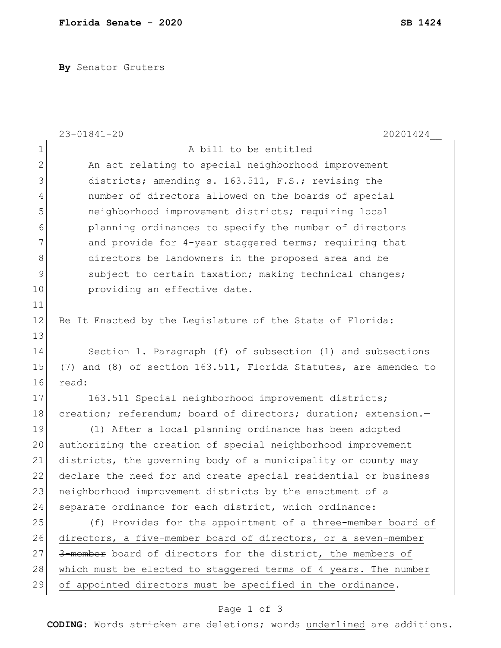**By** Senator Gruters

|                | $23 - 01841 - 20$<br>20201424                                    |  |  |  |  |  |
|----------------|------------------------------------------------------------------|--|--|--|--|--|
| $\mathbf 1$    | A bill to be entitled                                            |  |  |  |  |  |
| $\overline{2}$ | An act relating to special neighborhood improvement              |  |  |  |  |  |
| 3              | districts; amending s. 163.511, F.S.; revising the               |  |  |  |  |  |
| 4              | number of directors allowed on the boards of special             |  |  |  |  |  |
| 5              | neighborhood improvement districts; requiring local              |  |  |  |  |  |
| 6              | planning ordinances to specify the number of directors           |  |  |  |  |  |
| 7              | and provide for 4-year staggered terms; requiring that           |  |  |  |  |  |
| 8              | directors be landowners in the proposed area and be              |  |  |  |  |  |
| $\mathsf 9$    | subject to certain taxation; making technical changes;           |  |  |  |  |  |
| 10             | providing an effective date.                                     |  |  |  |  |  |
| 11             |                                                                  |  |  |  |  |  |
| 12             | Be It Enacted by the Legislature of the State of Florida:        |  |  |  |  |  |
| 13             |                                                                  |  |  |  |  |  |
| 14             | Section 1. Paragraph (f) of subsection (1) and subsections       |  |  |  |  |  |
| 15             | (7) and (8) of section 163.511, Florida Statutes, are amended to |  |  |  |  |  |
| 16             | read:                                                            |  |  |  |  |  |
| 17             | 163.511 Special neighborhood improvement districts;              |  |  |  |  |  |
| 18             | creation; referendum; board of directors; duration; extension.-  |  |  |  |  |  |
| 19             | (1) After a local planning ordinance has been adopted            |  |  |  |  |  |
| 20             | authorizing the creation of special neighborhood improvement     |  |  |  |  |  |
| 21             | districts, the governing body of a municipality or county may    |  |  |  |  |  |
| 22             | declare the need for and create special residential or business  |  |  |  |  |  |
| 23             | neighborhood improvement districts by the enactment of a         |  |  |  |  |  |
| 24             | separate ordinance for each district, which ordinance:           |  |  |  |  |  |
| 25             | (f) Provides for the appointment of a three-member board of      |  |  |  |  |  |
| 26             | directors, a five-member board of directors, or a seven-member   |  |  |  |  |  |
| 27             | 3-member board of directors for the district, the members of     |  |  |  |  |  |
| 28             | which must be elected to staggered terms of 4 years. The number  |  |  |  |  |  |
| 29             | of appointed directors must be specified in the ordinance.       |  |  |  |  |  |
|                |                                                                  |  |  |  |  |  |

## Page 1 of 3

**CODING**: Words stricken are deletions; words underlined are additions.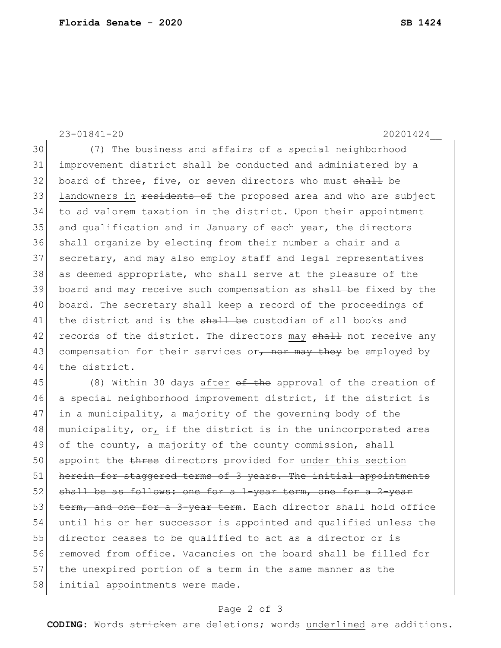23-01841-20 20201424\_\_ 30 (7) The business and affairs of a special neighborhood 31 improvement district shall be conducted and administered by a 32 board of three, five, or seven directors who must shall be 33 landowners in residents of the proposed area and who are subject 34 to ad valorem taxation in the district. Upon their appointment 35 and qualification and in January of each year, the directors 36 shall organize by electing from their number a chair and a 37 secretary, and may also employ staff and legal representatives 38 as deemed appropriate, who shall serve at the pleasure of the 39 board and may receive such compensation as shall be fixed by the 40 board. The secretary shall keep a record of the proceedings of 41 the district and is the shall be custodian of all books and 42 records of the district. The directors may shall not receive any 43 compensation for their services or<sub> $\tau$ </sub> nor may they be employed by 44 the district. 45 (8) Within 30 days after <del>of the</del> approval of the creation of

46 a special neighborhood improvement district, if the district is 47 in a municipality, a majority of the governing body of the 48 municipality, or, if the district is in the unincorporated area 49 of the county, a majority of the county commission, shall 50 appoint the three directors provided for under this section 51 herein for staggered terms of 3 years. The initial appointments 52 shall be as follows: one for a 1-year term, one for a 2-year 53 term, and one for a 3-year term. Each director shall hold office 54 until his or her successor is appointed and qualified unless the 55 director ceases to be qualified to act as a director or is 56 removed from office. Vacancies on the board shall be filled for 57 the unexpired portion of a term in the same manner as the 58 initial appointments were made.

## Page 2 of 3

**CODING**: Words stricken are deletions; words underlined are additions.